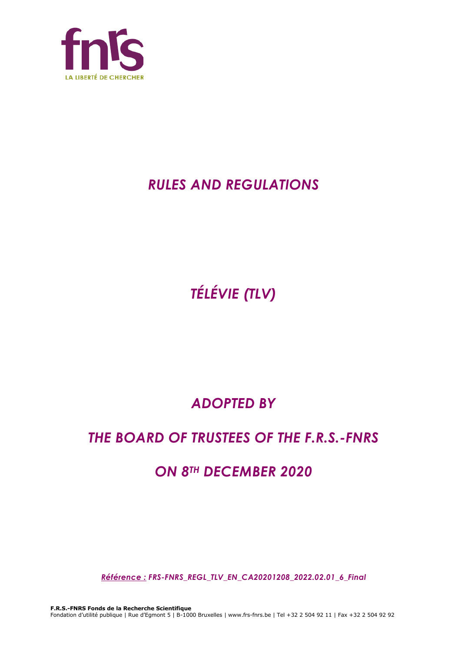

# *RULES AND REGULATIONS*

*TÉLÉVIE (TLV)*

# *ADOPTED BY*

# *THE BOARD OF TRUSTEES OF THE F.R.S.-FNRS*

# *ON 8TH DECEMBER 2020*

*Référence : FRS-FNRS\_REGL\_TLV\_EN\_CA20201208\_2022.02.01\_6\_Final*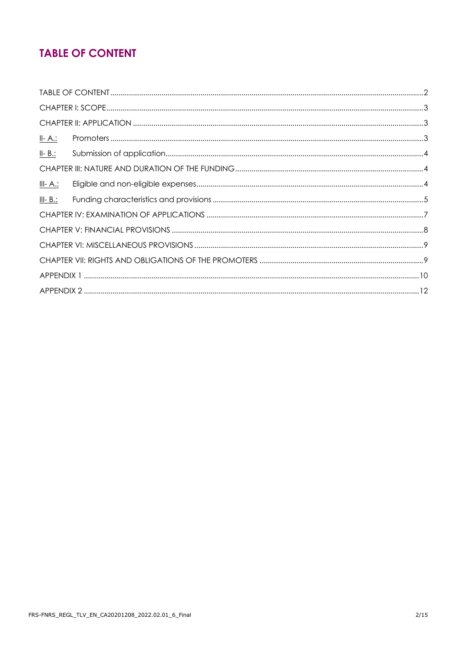## **TABLE OF CONTENT**

| <u>II- A.:</u>  |  |
|-----------------|--|
| $II - B$ .:     |  |
|                 |  |
| <u>III- A.:</u> |  |
| $III - B.$ :    |  |
|                 |  |
|                 |  |
|                 |  |
|                 |  |
|                 |  |
|                 |  |
|                 |  |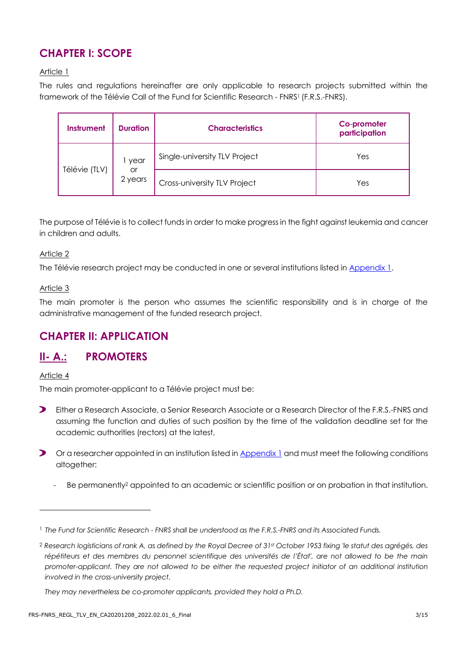## **CHAPTER I: SCOPE**

#### Article 1

The rules and regulations hereinafter are only applicable to research projects submitted within the framework of the Télévie Call of the Fund for Scientific Research - FNRS<sup>1</sup> (F.R.S.-FNRS).

| <b>Instrument</b> | <b>Duration</b> | <b>Characteristics</b>        | Co-promoter<br>participation |
|-------------------|-----------------|-------------------------------|------------------------------|
|                   | year            | Single-university TLV Project | Yes                          |
| Télévie (TLV)     | or<br>2 years   | Cross-university TLV Project  | Yes                          |

The purpose of Télévie is to collect funds in order to make progress in the fight against leukemia and cancer in children and adults.

#### Article 2

The Télévie research project may be conducted in one or several institutions listed in [Appendix 1.](#page-9-0)

#### Article 3

The main promoter is the person who assumes the scientific responsibility and is in charge of the administrative management of the funded research project.

## **CHAPTER II: APPLICATION**

## **II- A.: PROMOTERS**

Article 4

The main promoter-applicant to a Télévie project must be:

- $\blacktriangleright$ Either a Research Associate, a Senior Research Associate or a Research Director of the F.R.S.-FNRS and assuming the function and duties of such position by the time of the validation deadline set for the academic authorities (rectors) at the latest,
- Or a researcher appointed in an institution listed in [Appendix 1](#page-9-0) and must meet the following conditions altogether:
	- Be permanently<sup>2</sup> appointed to an academic or scientific position or on probation in that institution.

<sup>1</sup> *The Fund for Scientific Research - FNRS shall be understood as the F.R.S.-FNRS and its Associated Funds.*

<sup>2</sup> *Research logisticians of rank A, as defined by the Royal Decree of 31st October 1953 fixing 'le statut des agrégés, des*  répétiteurs et des membres du personnel scientifique des universités de l'État', are not allowed to be the main *promoter-applicant. They are not allowed to be either the requested project initiator of an additional institution involved in the cross-university project.*

*They may nevertheless be co-promoter applicants, provided they hold a Ph.D.*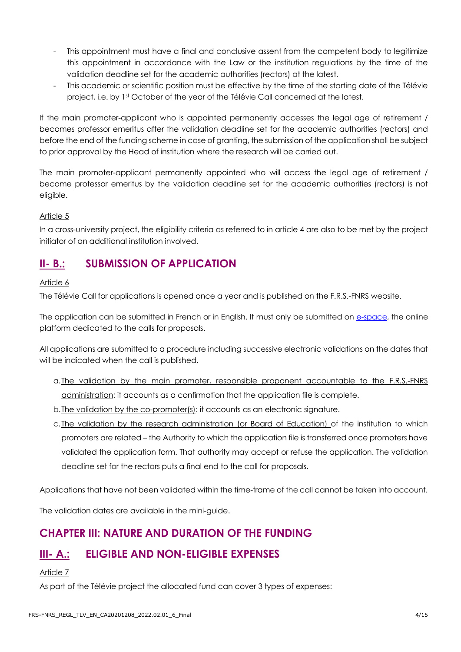- This appointment must have a final and conclusive assent from the competent body to legitimize this appointment in accordance with the Law or the institution regulations by the time of the validation deadline set for the academic authorities (rectors) at the latest.
- This academic or scientific position must be effective by the time of the starting date of the Télévie project, i.e. by 1st October of the year of the Télévie Call concerned at the latest.

If the main promoter-applicant who is appointed permanently accesses the legal age of retirement / becomes professor emeritus after the validation deadline set for the academic authorities (rectors) and before the end of the funding scheme in case of granting, the submission of the application shall be subject to prior approval by the Head of institution where the research will be carried out.

The main promoter-applicant permanently appointed who will access the legal age of retirement / become professor emeritus by the validation deadline set for the academic authorities (rectors) is not eligible.

#### Article 5

In a cross-university project, the eligibility criteria as referred to in article 4 are also to be met by the project initiator of an additional institution involved.

## **II- B.: SUBMISSION OF APPLICATION**

#### Article 6

The Télévie Call for applications is opened once a year and is published on the F.R.S.-FNRS website.

The application can be submitted in French or in English. It must only be submitted on [e-space,](https://e-space.frs-fnrs.be/) the online platform dedicated to the calls for proposals.

All applications are submitted to a procedure including successive electronic validations on the dates that will be indicated when the call is published.

- a.The validation by the main promoter, responsible proponent accountable to the F.R.S.-FNRS administration: it accounts as a confirmation that the application file is complete.
- b. The validation by the co-promoter(s): it accounts as an electronic signature.
- c. The validation by the research administration (or Board of Education) of the institution to which promoters are related – the Authority to which the application file is transferred once promoters have validated the application form. That authority may accept or refuse the application. The validation deadline set for the rectors puts a final end to the call for proposals.

Applications that have not been validated within the time-frame of the call cannot be taken into account.

The validation dates are available in the mini-guide.

## **CHAPTER III: NATURE AND DURATION OF THE FUNDING**

## **III- A.: ELIGIBLE AND NON-ELIGIBLE EXPENSES**

#### Article 7

As part of the Télévie project the allocated fund can cover 3 types of expenses: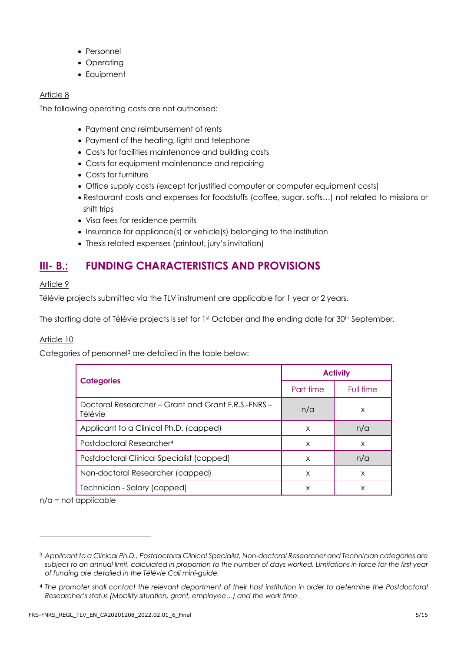- Personnel
- Operating
- Equipment

#### Article 8

The following operating costs are not authorised:

- Payment and reimbursement of rents
- Payment of the heating, light and telephone
- Costs for facilities maintenance and building costs
- Costs for equipment maintenance and repairing
- Costs for furniture
- Office supply costs (except for justified computer or computer equipment costs)
- Restaurant costs and expenses for foodstuffs (coffee, sugar, softs…) not related to missions or shift trips
- Visa fees for residence permits
- Insurance for appliance(s) or vehicle(s) belonging to the institution
- Thesis related expenses (printout, jury's invitation)

## **III- B.: FUNDING CHARACTERISTICS AND PROVISIONS**

#### Article 9

Télévie projects submitted via the TLV instrument are applicable for 1 year or 2 years.

The starting date of Télévie projects is set for 1st October and the ending date for 30<sup>th</sup> September.

#### Article 10

Categories of personnel<sup>3</sup> are detailed in the table below:

|                                                                | <b>Activity</b> |           |  |
|----------------------------------------------------------------|-----------------|-----------|--|
| <b>Categories</b>                                              | Part time       | Full time |  |
| Doctoral Researcher – Grant and Grant F.R.S.-FNRS –<br>Télévie | n/a             | X         |  |
| Applicant to a Clinical Ph.D. (capped)                         | X               | n/a       |  |
| Postdoctoral Researcher <sup>4</sup>                           | X               | X         |  |
| Postdoctoral Clinical Specialist (capped)                      | X               | n/a       |  |
| Non-doctoral Researcher (capped)                               | X               | X         |  |
| Technician - Salary (capped)                                   | X               | X         |  |

n/a = not applicable

<sup>3</sup> *Applicant to a Clinical Ph.D., Postdoctoral Clinical Specialist, Non-doctoral Researcher and Technician categories are subject to an annual limit, calculated in proportion to the number of days worked. Limitations in force for the first year of funding are detailed in the Télévie Call mini-guide.*

<sup>4</sup> *The promoter shall contact the relevant department of their host institution in order to determine the Postdoctoral Researcher's status (Mobility situation, grant, employee…) and the work time.*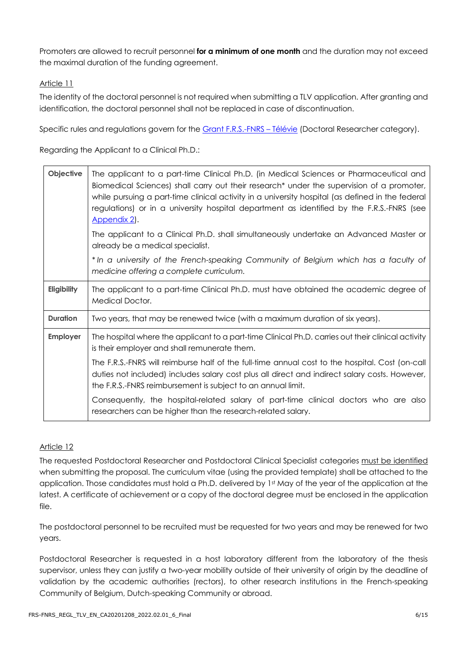Promoters are allowed to recruit personnel **for a minimum of one month** and the duration may not exceed the maximal duration of the funding agreement.

#### Article 11

The identity of the doctoral personnel is not required when submitting a TLV application. After granting and identification, the doctoral personnel shall not be replaced in case of discontinuation.

Specific rules and regulations govern for the Grant [F.R.S.-FNRS](https://www.frs-fnrs.be/docs/Reglement-et-documents/FRS-FNRS_REGL_GRANT_TLV_FR.pdf) – Télévie (Doctoral Researcher category).

Regarding the Applicant to a Clinical Ph.D.:

| Objective       | The applicant to a part-time Clinical Ph.D. (in Medical Sciences or Pharmaceutical and<br>Biomedical Sciences) shall carry out their research* under the supervision of a promoter,<br>while pursuing a part-time clinical activity in a university hospital (as defined in the federal<br>regulations) or in a university hospital department as identified by the F.R.S.-FNRS (see<br>Appendix 2. |
|-----------------|-----------------------------------------------------------------------------------------------------------------------------------------------------------------------------------------------------------------------------------------------------------------------------------------------------------------------------------------------------------------------------------------------------|
|                 | The applicant to a Clinical Ph.D. shall simultaneously undertake an Advanced Master or<br>already be a medical specialist.                                                                                                                                                                                                                                                                          |
|                 | * In a university of the French-speaking Community of Belgium which has a faculty of<br>medicine offering a complete curriculum.                                                                                                                                                                                                                                                                    |
| Eligibility     | The applicant to a part-time Clinical Ph.D. must have obtained the academic degree of<br><b>Medical Doctor.</b>                                                                                                                                                                                                                                                                                     |
| <b>Duration</b> | Two years, that may be renewed twice (with a maximum duration of six years).                                                                                                                                                                                                                                                                                                                        |
| <b>Employer</b> | The hospital where the applicant to a part-time Clinical Ph.D. carries out their clinical activity<br>is their employer and shall remunerate them.                                                                                                                                                                                                                                                  |
|                 | The F.R.S.-FNRS will reimburse half of the full-time annual cost to the hospital. Cost (on-call<br>duties not included) includes salary cost plus all direct and indirect salary costs. However,<br>the F.R.S.-FNRS reimbursement is subject to an annual limit.                                                                                                                                    |
|                 | Consequently, the hospital-related salary of part-time clinical doctors who are also<br>researchers can be higher than the research-related salary.                                                                                                                                                                                                                                                 |

#### Article 12

The requested Postdoctoral Researcher and Postdoctoral Clinical Specialist categories must be identified when submitting the proposal. The curriculum vitae (using the provided template) shall be attached to the application. Those candidates must hold a Ph.D. delivered by 1st May of the year of the application at the latest. A certificate of achievement or a copy of the doctoral degree must be enclosed in the application file.

The postdoctoral personnel to be recruited must be requested for two years and may be renewed for two years.

Postdoctoral Researcher is requested in a host laboratory different from the laboratory of the thesis supervisor, unless they can justify a two-year mobility outside of their university of origin by the deadline of validation by the academic authorities (rectors), to other research institutions in the French-speaking Community of Belgium, Dutch-speaking Community or abroad.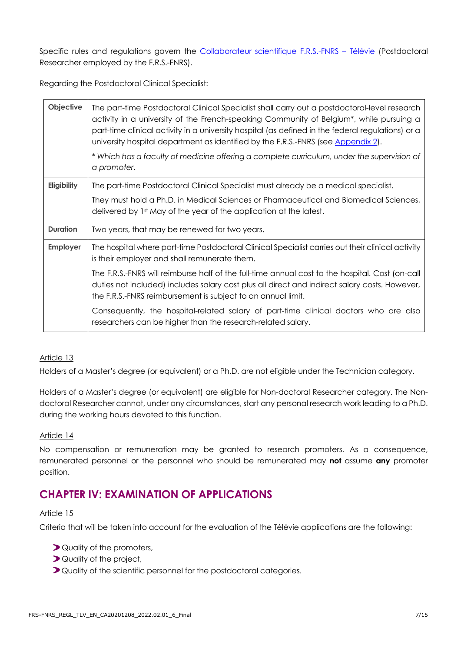Specific rules and regulations govern the [Collaborateur scientifique F.R.S.-FNRS](https://www.frs-fnrs.be/docs/Reglement-et-documents/FRS-FNRS_REGL_COL_TLV_FR.pdf) – Télévie (Postdoctoral Researcher employed by the F.R.S.-FNRS).

Regarding the Postdoctoral Clinical Specialist:

| Objective       | The part-time Postdoctoral Clinical Specialist shall carry out a postdoctoral-level research<br>activity in a university of the French-speaking Community of Belgium*, while pursuing a<br>part-time clinical activity in a university hospital (as defined in the federal regulations) or a<br>university hospital department as identified by the F.R.S.-FNRS (see Appendix 2).<br>* Which has a faculty of medicine offering a complete curriculum, under the supervision of<br>a promoter. |
|-----------------|------------------------------------------------------------------------------------------------------------------------------------------------------------------------------------------------------------------------------------------------------------------------------------------------------------------------------------------------------------------------------------------------------------------------------------------------------------------------------------------------|
| Eligibility     | The part-time Postdoctoral Clinical Specialist must already be a medical specialist.                                                                                                                                                                                                                                                                                                                                                                                                           |
|                 | They must hold a Ph.D. in Medical Sciences or Pharmaceutical and Biomedical Sciences,<br>delivered by 1st May of the year of the application at the latest.                                                                                                                                                                                                                                                                                                                                    |
| <b>Duration</b> | Two years, that may be renewed for two years.                                                                                                                                                                                                                                                                                                                                                                                                                                                  |
| <b>Employer</b> | The hospital where part-time Postdoctoral Clinical Specialist carries out their clinical activity<br>is their employer and shall remunerate them.                                                                                                                                                                                                                                                                                                                                              |
|                 | The F.R.S.-FNRS will reimburse half of the full-time annual cost to the hospital. Cost (on-call<br>duties not included) includes salary cost plus all direct and indirect salary costs. However,<br>the F.R.S.-FNRS reimbursement is subject to an annual limit.                                                                                                                                                                                                                               |
|                 | Consequently, the hospital-related salary of part-time clinical doctors who are also<br>researchers can be higher than the research-related salary.                                                                                                                                                                                                                                                                                                                                            |

#### Article 13

Holders of a Master's degree (or equivalent) or a Ph.D. are not eligible under the Technician category.

Holders of a Master's degree (or equivalent) are eligible for Non-doctoral Researcher category. The Nondoctoral Researcher cannot, under any circumstances, start any personal research work leading to a Ph.D. during the working hours devoted to this function.

#### Article 14

No compensation or remuneration may be granted to research promoters. As a consequence, remunerated personnel or the personnel who should be remunerated may **not** assume **any** promoter position.

## **CHAPTER IV: EXAMINATION OF APPLICATIONS**

#### Article 15

Criteria that will be taken into account for the evaluation of the Télévie applications are the following:

- **D** Quality of the promoters,
- **D** Quality of the project,
- **D**Quality of the scientific personnel for the postdoctoral categories.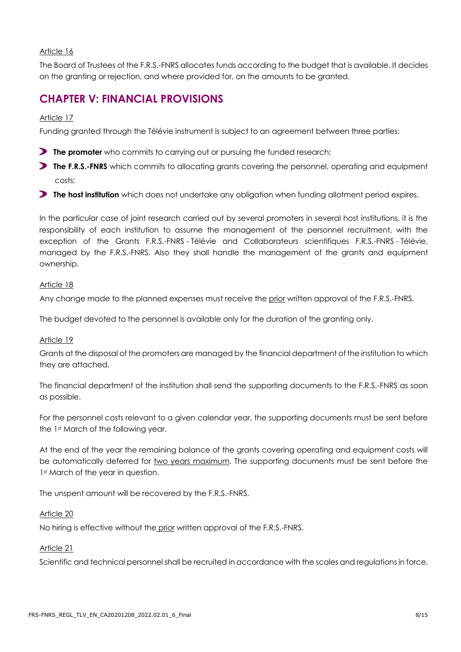#### Article 16

The Board of Trustees of the F.R.S.-FNRS allocates funds according to the budget that is available. It decides on the granting or rejection, and where provided for, on the amounts to be granted.

## **CHAPTER V: FINANCIAL PROVISIONS**

#### Article 17

Funding granted through the Télévie instrument is subject to an agreement between three parties:

- **The promoter** who commits to carrying out or pursuing the funded research;
- **The F.R.S.-FNRS** which commits to allocating grants covering the personnel, operating and equipment costs;
- **The host institution** which does not undertake any obligation when funding allotment period expires.

In the particular case of joint research carried out by several promoters in several host institutions, it is the responsibility of each institution to assume the management of the personnel recruitment, with the exception of the Grants F.R.S.-FNRS - Télévie and Collaborateurs scientifiques F.R.S.-FNRS - Télévie, managed by the F.R.S.-FNRS. Also they shall handle the management of the grants and equipment ownership.

#### Article 18

Any change made to the planned expenses must receive the prior written approval of the F.R.S.-FNRS.

The budget devoted to the personnel is available only for the duration of the granting only.

#### Article 19

Grants at the disposal of the promoters are managed by the financial department of the institution to which they are attached.

The financial department of the institution shall send the supporting documents to the F.R.S.-FNRS as soon as possible.

For the personnel costs relevant to a given calendar year, the supporting documents must be sent before the 1st March of the following year.

At the end of the year the remaining balance of the grants covering operating and equipment costs will be automatically deferred for two years maximum. The supporting documents must be sent before the 1st March of the year in question.

The unspent amount will be recovered by the F.R.S.-FNRS.

#### Article 20

No hiring is effective without the prior written approval of the F.R.S.-FNRS.

#### Article 21

Scientific and technical personnel shall be recruited in accordance with the scales and regulations in force.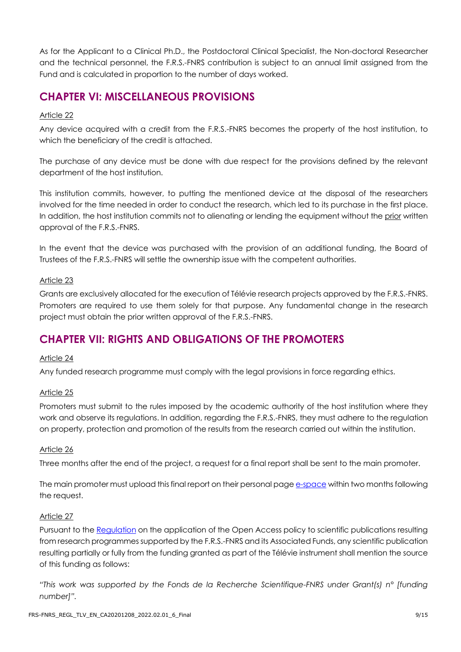As for the Applicant to a Clinical Ph.D., the Postdoctoral Clinical Specialist, the Non-doctoral Researcher and the technical personnel, the F.R.S.-FNRS contribution is subject to an annual limit assigned from the Fund and is calculated in proportion to the number of days worked.

## **CHAPTER VI: MISCELLANEOUS PROVISIONS**

#### Article 22

Any device acquired with a credit from the F.R.S.-FNRS becomes the property of the host institution, to which the beneficiary of the credit is attached.

The purchase of any device must be done with due respect for the provisions defined by the relevant department of the host institution.

This institution commits, however, to putting the mentioned device at the disposal of the researchers involved for the time needed in order to conduct the research, which led to its purchase in the first place. In addition, the host institution commits not to alienating or lending the equipment without the prior written approval of the F.R.S.-FNRS.

In the event that the device was purchased with the provision of an additional funding, the Board of Trustees of the F.R.S.-FNRS will settle the ownership issue with the competent authorities.

#### Article 23

Grants are exclusively allocated for the execution of Télévie research projects approved by the F.R.S.-FNRS. Promoters are required to use them solely for that purpose. Any fundamental change in the research project must obtain the prior written approval of the F.R.S.-FNRS.

## **CHAPTER VII: RIGHTS AND OBLIGATIONS OF THE PROMOTERS**

#### Article 24

Any funded research programme must comply with the legal provisions in force regarding ethics.

#### Article 25

Promoters must submit to the rules imposed by the academic authority of the host institution where they work and observe its regulations. In addition, regarding the F.R.S.-FNRS, they must adhere to the regulation on property, protection and promotion of the results from the research carried out within the institution.

#### Article 26

Three months after the end of the project, a request for a final report shall be sent to the main promoter.

The main promoter must upload this final report on their personal page [e-space](https://e-space.frs-fnrs.be/) within two months following the request.

#### Article 27

Pursuant to the [Regulation](https://www.frs-fnrs.be/docs/Reglement_OPEN_ACCESS_EN.pdf) on the application of the Open Access policy to scientific publications resulting from research programmes supported by the F.R.S.-FNRS and its Associated Funds, any scientific publication resulting partially or fully from the funding granted as part of the Télévie instrument shall mention the source of this funding as follows:

*"This work was supported by the Fonds de la Recherche Scientifique-FNRS under Grant(s) n° [funding number]".*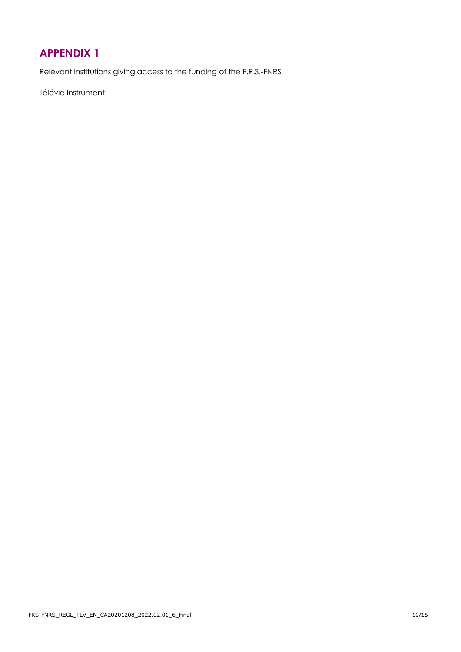## <span id="page-9-0"></span>**APPENDIX 1**

Relevant institutions giving access to the funding of the F.R.S.-FNRS

Télévie Instrument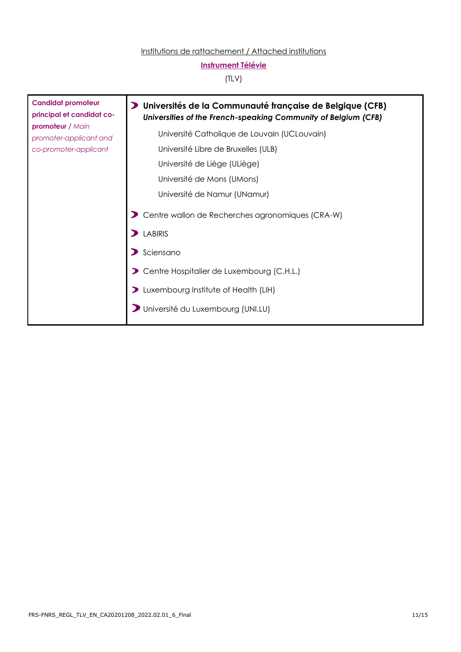#### Institutions de rattachement / Attached institutions

### **Instrument Télévie**

#### (TLV)

| <b>Candidat promoteur</b><br>principal et candidat co-<br>promoteur / Main | Universités de la Communauté française de Belgique (CFB)<br>Universities of the French-speaking Community of Belgium (CFB) |
|----------------------------------------------------------------------------|----------------------------------------------------------------------------------------------------------------------------|
| promoter-applicant and                                                     | Université Catholique de Louvain (UCLouvain)                                                                               |
| co-promoter-applicant                                                      | Université Libre de Bruxelles (ULB)                                                                                        |
|                                                                            | Université de Liège (ULiège)                                                                                               |
|                                                                            | Université de Mons (UMons)                                                                                                 |
|                                                                            | Université de Namur (UNamur)                                                                                               |
|                                                                            | Centre wallon de Recherches agronomiques (CRA-W)                                                                           |
|                                                                            | <b>LABIRIS</b>                                                                                                             |
|                                                                            | Sciensano                                                                                                                  |
|                                                                            | Centre Hospitalier de Luxembourg (C.H.L.)                                                                                  |
|                                                                            | Luxembourg Institute of Health (LIH)                                                                                       |
|                                                                            | Université du Luxembourg (UNI.LU)                                                                                          |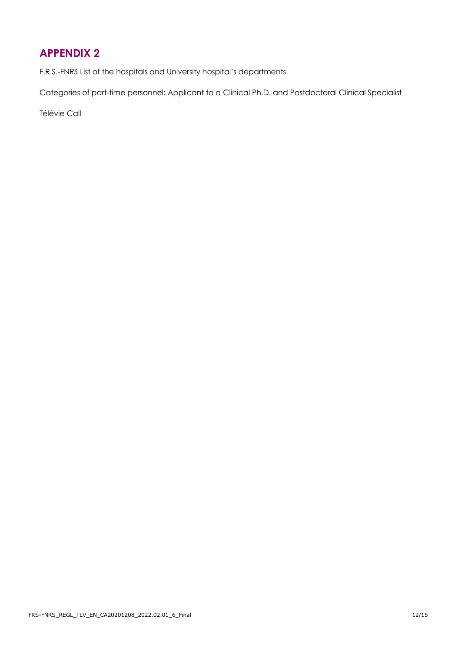## <span id="page-11-0"></span>**APPENDIX 2**

F.R.S.-FNRS List of the hospitals and University hospital's departments

Categories of part-time personnel: Applicant to a Clinical Ph.D. and Postdoctoral Clinical Specialist

Télévie Call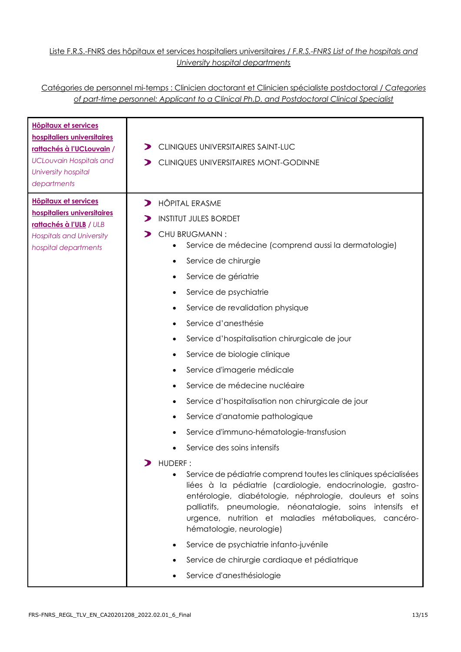#### Liste F.R.S.-FNRS des hôpitaux et services hospitaliers universitaires / *F.R.S.-FNRS List of the hospitals and University hospital departments*

#### Catégories de personnel mi-temps : Clinicien doctorant et Clinicien spécialiste postdoctoral / *Categories of part-time personnel: Applicant to a Clinical Ph.D. and Postdoctoral Clinical Specialist*

| hospitaliers universitaires<br>rattachés à l'UCLouvain /<br><b>UCLouvain Hospitals and</b><br>University hospital<br>departments                 | CLINIQUES UNIVERSITAIRES SAINT-LUC<br>CLINIQUES UNIVERSITAIRES MONT-GODINNE<br>⋗                                                                                                                                                                                                                                                                                                                                                                                                                                                                                                                                                                                                                                                                                                                                                                                                                                                                                                                                                                                                                                                            |
|--------------------------------------------------------------------------------------------------------------------------------------------------|---------------------------------------------------------------------------------------------------------------------------------------------------------------------------------------------------------------------------------------------------------------------------------------------------------------------------------------------------------------------------------------------------------------------------------------------------------------------------------------------------------------------------------------------------------------------------------------------------------------------------------------------------------------------------------------------------------------------------------------------------------------------------------------------------------------------------------------------------------------------------------------------------------------------------------------------------------------------------------------------------------------------------------------------------------------------------------------------------------------------------------------------|
| <b>Hôpitaux et services</b><br>hospitaliers universitaires<br>rattachés à l'ULB / ULB<br><b>Hospitals and University</b><br>hospital departments | <b>HÔPITAL ERASME</b><br>$\blacktriangleright$<br><b>INSTITUT JULES BORDET</b><br>CHU BRUGMANN:<br>Service de médecine (comprend aussi la dermatologie)<br>Service de chirurgie<br>Service de gériatrie<br>Service de psychiatrie<br>٠<br>Service de revalidation physique<br>Service d'anesthésie<br>Service d'hospitalisation chirurgicale de jour<br>٠<br>Service de biologie clinique<br>Service d'imagerie médicale<br>Service de médecine nucléaire<br>Service d'hospitalisation non chirurgicale de jour<br>Service d'anatomie pathologique<br>$\bullet$<br>Service d'immuno-hématologie-transfusion<br>Service des soins intensifs<br>HUDERF:<br>Service de pédiatrie comprend toutes les cliniques spécialisées<br>$\bullet$<br>liées à la pédiatrie (cardiologie, endocrinologie, gastro-<br>entérologie, diabétologie, néphrologie, douleurs et soins<br>palliatifs, pneumologie, néonatalogie, soins intensifs et<br>urgence, nutrition et maladies métaboliques, cancéro-<br>hématologie, neurologie)<br>Service de psychiatrie infanto-juvénile<br>Service de chirurgie cardiaque et pédiatrique<br>Service d'anesthésiologie |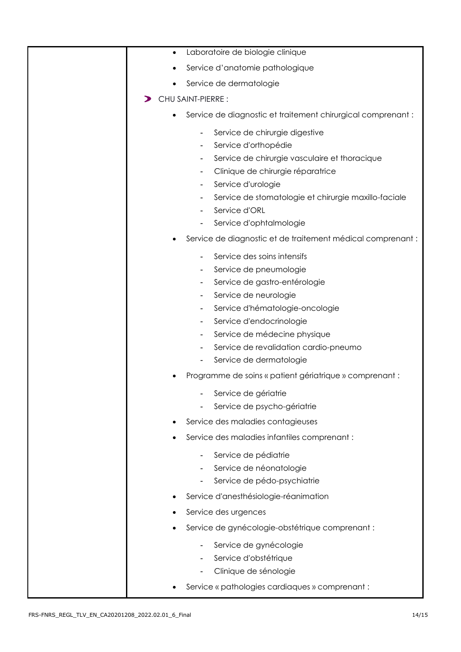| Laboratoire de biologie clinique<br>$\bullet$                                                                                                                                                                                                                                                                                                                                                                                                                                           |
|-----------------------------------------------------------------------------------------------------------------------------------------------------------------------------------------------------------------------------------------------------------------------------------------------------------------------------------------------------------------------------------------------------------------------------------------------------------------------------------------|
| Service d'anatomie pathologique                                                                                                                                                                                                                                                                                                                                                                                                                                                         |
| Service de dermatologie                                                                                                                                                                                                                                                                                                                                                                                                                                                                 |
| <b>CHU SAINT-PIERRE:</b>                                                                                                                                                                                                                                                                                                                                                                                                                                                                |
| Service de diagnostic et traitement chirurgical comprenant :<br>$\bullet$                                                                                                                                                                                                                                                                                                                                                                                                               |
| Service de chirurgie digestive<br>$\overline{\phantom{a}}$<br>Service d'orthopédie<br>Service de chirurgie vasculaire et thoracique<br>Clinique de chirurgie réparatrice<br>Service d'urologie<br>Service de stomatologie et chirurgie maxillo-faciale<br>$\overline{\phantom{a}}$<br>Service d'ORL<br>Service d'ophtalmologie                                                                                                                                                          |
| Service de diagnostic et de traitement médical comprenant :                                                                                                                                                                                                                                                                                                                                                                                                                             |
| Service des soins intensifs<br>Service de pneumologie<br>Service de gastro-entérologie<br>Service de neurologie<br>Service d'hématologie-oncologie<br>Service d'endocrinologie<br>$\overline{\phantom{a}}$<br>Service de médecine physique<br>$\blacksquare$<br>Service de revalidation cardio-pneumo<br>Service de dermatologie<br>Programme de soins « patient gériatrique » comprenant :<br>Service de gériatrie<br>Service de psycho-gériatrie<br>Service des maladies contagieuses |
|                                                                                                                                                                                                                                                                                                                                                                                                                                                                                         |
| Service des maladies infantiles comprenant :<br>Service de pédiatrie<br>Service de néonatologie<br>Service de pédo-psychiatrie<br>Service d'anesthésiologie-réanimation                                                                                                                                                                                                                                                                                                                 |
| Service des urgences                                                                                                                                                                                                                                                                                                                                                                                                                                                                    |
| Service de gynécologie-obstétrique comprenant :                                                                                                                                                                                                                                                                                                                                                                                                                                         |
| Service de gynécologie<br>Service d'obstétrique<br>Clinique de sénologie<br>Service « pathologies cardiaques » comprenant :                                                                                                                                                                                                                                                                                                                                                             |